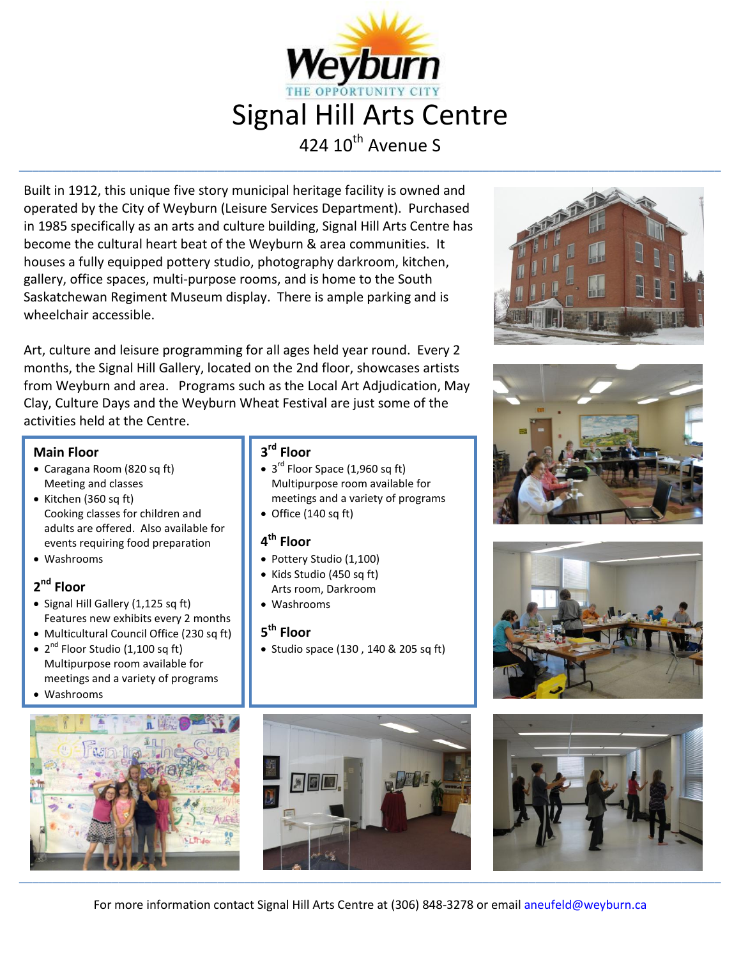

Built in 1912, this unique five story municipal heritage facility is owned and operated by the City of Weyburn (Leisure Services Department). Purchased in 1985 specifically as an arts and culture building, Signal Hill Arts Centre has become the cultural heart beat of the Weyburn & area communities. It houses a fully equipped pottery studio, photography darkroom, kitchen, gallery, office spaces, multi-purpose rooms, and is home to the South Saskatchewan Regiment Museum display. There is ample parking and is wheelchair accessible.

Art, culture and leisure programming for all ages held year round. Every 2 months, the Signal Hill Gallery, located on the 2nd floor, showcases artists from Weyburn and area. Programs such as the Local Art Adjudication, May Clay, Culture Days and the Weyburn Wheat Festival are just some of the activities held at the Centre.

#### **Main Floor**

- Caragana Room (820 sq ft) Meeting and classes
- wheeling and classes<br>• Kitchen (360 sq ft) Cooking classes for children and adults are offered. Also available for events requiring food preparation
	- Washrooms

# **2 nd Floor**

- Signal Hill Gallery (1,125 sq ft) Features new exhibits every 2 months
- Multicultural Council Office (230 sq ft)
- $\bullet$  2<sup>nd</sup> Floor Studio (1,100 sq ft) Multipurpose room available for meetings and a variety of programs
- Washrooms



# **3 rd Floor**

- Caragana Room (820 sq ft)  $\bullet$  3<sup>rd</sup> Floor Space (1,960 sq ft) Multipurpose room available for meetings and a variety of programs
	- $\bullet$  Office (140 sq ft)

# **4 th Floor**

- Pottery Studio (1,100)
- Kids Studio (450 sq ft) Arts room, Darkroom
- Washrooms

# **5 th Floor**

 $\bullet$  Studio space (130, 140 & 205 sq ft)